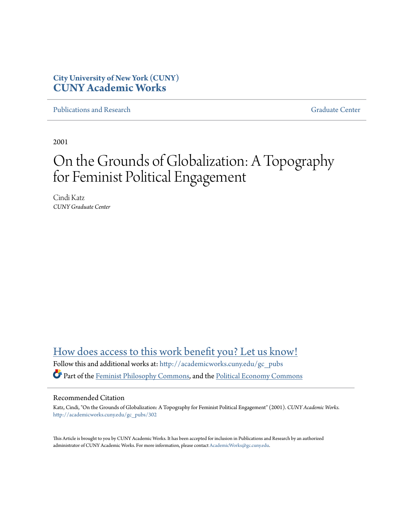## **City University of New York (CUNY) [CUNY Academic Works](http://academicworks.cuny.edu?utm_source=academicworks.cuny.edu%2Fgc_pubs%2F302&utm_medium=PDF&utm_campaign=PDFCoverPages)**

[Publications and Research](http://academicworks.cuny.edu/gc_pubs?utm_source=academicworks.cuny.edu%2Fgc_pubs%2F302&utm_medium=PDF&utm_campaign=PDFCoverPages) [Graduate Center](http://academicworks.cuny.edu/gc?utm_source=academicworks.cuny.edu%2Fgc_pubs%2F302&utm_medium=PDF&utm_campaign=PDFCoverPages) Center Graduate Center

2001

# On the Grounds of Globalization: A Topography for Feminist Political Engagement

Cindi Katz *CUNY Graduate Center*

# [How does access to this work benefit you? Let us know!](http://ols.cuny.edu/academicworks/?ref=http://academicworks.cuny.edu/gc_pubs/302)

Follow this and additional works at: [http://academicworks.cuny.edu/gc\\_pubs](http://academicworks.cuny.edu/gc_pubs?utm_source=academicworks.cuny.edu%2Fgc_pubs%2F302&utm_medium=PDF&utm_campaign=PDFCoverPages) Part of the [Feminist Philosophy Commons](http://network.bepress.com/hgg/discipline/530?utm_source=academicworks.cuny.edu%2Fgc_pubs%2F302&utm_medium=PDF&utm_campaign=PDFCoverPages), and the [Political Economy Commons](http://network.bepress.com/hgg/discipline/352?utm_source=academicworks.cuny.edu%2Fgc_pubs%2F302&utm_medium=PDF&utm_campaign=PDFCoverPages)

## Recommended Citation

Katz, Cindi, "On the Grounds of Globalization: A Topography for Feminist Political Engagement" (2001). *CUNY Academic Works.* [http://academicworks.cuny.edu/gc\\_pubs/302](http://academicworks.cuny.edu/gc_pubs/302?utm_source=academicworks.cuny.edu%2Fgc_pubs%2F302&utm_medium=PDF&utm_campaign=PDFCoverPages)

This Article is brought to you by CUNY Academic Works. It has been accepted for inclusion in Publications and Research by an authorized administrator of CUNY Academic Works. For more information, please contact [AcademicWorks@gc.cuny.edu.](mailto:AcademicWorks@gc.cuny.edu%3E)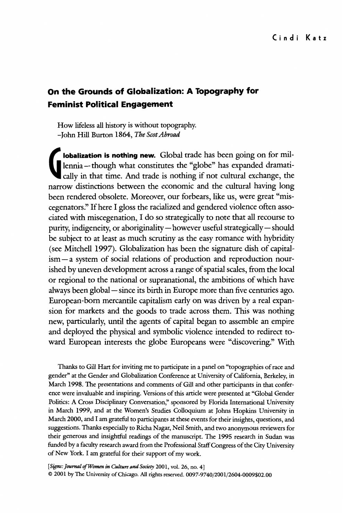## On the Grounds of Globalization: A Topography for Feminist Political Engagement

 How lifeless all history is without topography. -John Hill Burton 1864, The Scot Abroad

**Iobalization is nothing new.** Global trade has been going on for millennia-though what constitutes the "globe" has expanded dramati cally in that time. And trade is nothing if not cultural exchange, the narrow distinctions between the economic and the cultural having long been rendered obsolete. Moreover, our forbears, like us, were great "mis cegenators." If here I gloss the racialized and gendered violence often asso ciated with miscegenation, I do so strategically to note that all recourse to purity, indigeneity, or aboriginality- however useful strategically- should be subject to at least as much scrutiny as the easy romance with hybridity (see Mitchell 1997). Globalization has been the signature dish of capital ism-a system of social relations of production and reproduction nour ished by uneven development across a range of spatial scales, from the local or regional to the national or supranational, the ambitions of which have always been global - since its birth in Europe more than five centuries ago. European-born mercantile capitalism early on was driven by a real expan sion for markets and the goods to trade across them. This was nothing new, particularly, until the agents of capital began to assemble an empire and deployed the physical and symbolic violence intended to redirect to ward European interests the globe Europeans were "discovering." With

 Thanks to Gill Hart for inviting me to participate in a panel on "topographies of race and gender" at the Gender and Globalization Conference at University of California, Berkeley, in March 1998. The presentations and comments of Gill and other participants in that confer ence were invaluable and inspiring. Versions of this article were presented at "Global Gender Politics: A Cross Disciplinary Conversation," sponsored by Florida International University in March 1999, and at the Women's Studies Colloquium at Johns Hopkins University in March 2000, and I am grateful to participants at these events for their insights, questions, and suggestions. Thanks especially to Richa Nagar, Neil Smith, and two anonymous reviewers for their generous and insightful readings of the manuscript. The 1995 research in Sudan was funded by a faculty research award from the Professional Staff Congress of the City University of New York. I am grateful for their support of my work.

 [Siqns: Journal of Women in Culture and Society 2001, vol. 26, no. 4] ? 2001 by The University of Chicago. All rights reserved. 0097-9740/2001/2604-0009\$02.00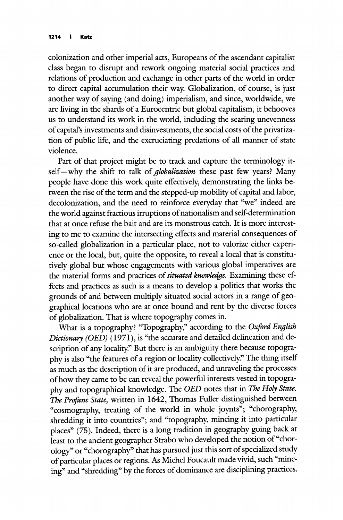colonization and other imperial acts, Europeans of the ascendant capitalist class began to disrupt and rework ongoing material social practices and relations of production and exchange in other parts of the world in order to direct capital accumulation their way. Globalization, of course, is just another way of saying (and doing) imperialism, and since, worldwide, we are living in the shards of a Eurocentric but global capitalism, it behooves us to understand its work in the world, including the searing unevenness of capital's investments and disinvestments, the social costs of the privatiza tion of public life, and the excruciating predations of all manner of state violence.

 Part of that project might be to track and capture the terminology it self-why the shift to talk of *globalization* these past few years? Many people have done this work quite effectively, demonstrating the links be tween the rise of the term and the stepped-up mobility of capital and labor, decolonization, and the need to reinforce everyday that "we" indeed are the world against fractious irruptions of nationalism and self-determination that at once refuse the bait and are its monstrous catch. It is more interest ing to me to examine the intersecting effects and material consequences of so-called globalization in a particular place, not to valorize either experi ence or the local, but, quite the opposite, to reveal a local that is constitu tively global but whose engagements with various global imperatives are the material forms and practices of situated knowledge. Examining these ef fects and practices as such is a means to develop a politics that works the grounds of and between multiply situated social actors in a range of geo graphical locations who are at once bound and rent by the diverse forces of globalization. That is where topography comes in.

What is a topography? "Topography," according to the Oxford English Dictionary (OED) (1971), is "the accurate and detailed delineation and de scription of any locality." But there is an ambiguity there because topogra phy is also "the features of a region or locality collectively." The thing itself as much as the description of it are produced, and unraveling the processes of how they came to be can reveal the powerful interests vested in topogra phy and topographical knowledge. The OED notes that in The Holy State. The Profane State, written in 1642, Thomas Fuller distinguished between "cosmography, treating of the world in whole joynts"; "chorography, shredding it into countries"; and "topography, mincing it into particular places" (75). Indeed, there is a long tradition in geography going back at least to the ancient geographer Strabo who developed the notion of "chor ology" or "chorography" that has pursued just this sort of specialized study of particular places or regions. As Michel Foucault made vivid, such "minc ing" and "shredding" by the forces of dominance are disciplining practices.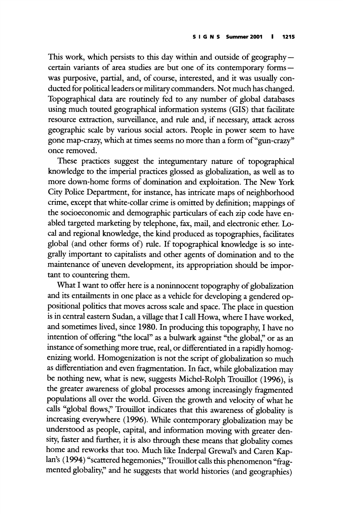This work, which persists to this day within and outside of geography $$  certain variants of area studies are but one of its contemporary forms was purposive, partial, and, of course, interested, and it was usually con ducted for political leaders or military commanders. Not much has changed. Topographical data are routinely fed to any number of global databases using much touted geographical information systems (GIS) that facilitate resource extraction, surveillance, and rule and, if necessary, attack across geographic scale by various social actors. People in power seem to have gone map-crazy, which at times seems no more than a form of "gun-crazy" once removed.

 These practices suggest the integumentary nature of topographical knowledge to the imperial practices glossed as globalization, as well as to more down-home forms of domination and exploitation. The New York City Police Department, for instance, has intricate maps of neighborhood crime, except that white-collar crime is omitted by definition; mappings of the socioeconomic and demographic particulars of each zip code have en abled targeted marketing by telephone, fax, mail, and electronic ether. Lo cal and regional knowledge, the kind produced as topographies, facilitates global (and other forms of) rule. If topographical knowledge is so inte grally important to capitalists and other agents of domination and to the maintenance of uneven development, its appropriation should be impor tant to countering them.

 What I want to offer here is a noninnocent topography of globalization and its entailments in one place as a vehicle for developing a gendered op positional politics that moves across scale and space. The place in question is in central eastern Sudan, a village that I call Howa, where I have worked, and sometimes lived, since 1980. In producing this topography, I have no intention of offering "the local" as a bulwark against "the global," or as an instance of something more true, real, or differentiated in a rapidly homog enizing world. Homogenization is not the script of globalization so much as differentiation and even fragmentation. In fact, while globalization may be nothing new, what is new, suggests Michel-Rolph Trouillot (1996), is the greater awareness of global processes among increasingly fragmented populations all over the world. Given the growth and velocity of what he calls "global flows," Trouillot indicates that this awareness of globality is increasing everywhere (1996). While contemporary globalization may be understood as people, capital, and information moving with greater den sity, faster and further, it is also through these means that globality comes home and reworks that too. Much like Inderpal Grewal's and Caren Kap lan's (1994) "scattered hegemonies," Trouillot calls this phenomenon "frag mented globality," and he suggests that world histories (and geographies)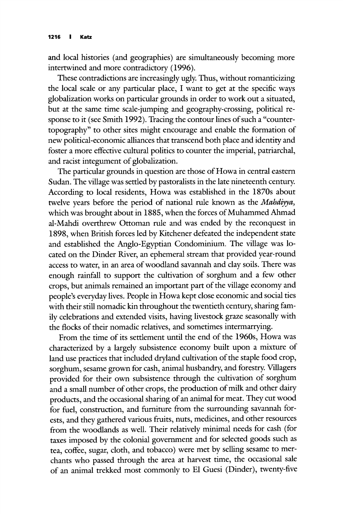and local histories (and geographies) are simultaneously becoming more intertwined and more contradictory (1996).

 These contradictions are increasingly ugly. Thus, without romanticizing the local scale or any particular place, I want to get at the specific ways globalization works on particular grounds in order to work out a situated, but at the same time scale-jumping and geography-crossing, political re sponse to it (see Smith 1992). Tracing the contour lines of such a "counter topography" to other sites might encourage and enable the formation of new political-economic alliances that transcend both place and identity and foster a more effective cultural politics to counter the imperial, patriarchal, and racist integument of globalization.

 The particular grounds in question are those of Howa in central eastern Sudan. The village was settled by pastoralists in the late nineteenth century. According to local residents, Howa was established in the 1870s about twelve years before the period of national rule known as the Mahdiyya, which was brought about in 1885, when the forces of Muhammed Ahmad al-Mahdi overthrew Ottoman rule and was ended by the reconquest in 1898, when British forces led by Kitchener defeated the independent state and established the Anglo-Egyptian Condominium. The village was lo cated on the Dinder River, an ephemeral stream that provided year-round access to water, in an area of woodland savannah and clay soils. There was enough rainfall to support the cultivation of sorghum and a few other crops, but animals remained an important part of the village economy and people's everyday lives. People in Howa kept close economic and social ties with their still nomadic kin throughout the twentieth century, sharing fam ily celebrations and extended visits, having livestock graze seasonally with the flocks of their nomadic relatives, and sometimes intermarrying.

 From the time of its settlement until the end of the 1960s, Howa was characterized by a largely subsistence economy built upon a mixture of land use practices that included dryland cultivation of the staple food crop, sorghum, sesame grown for cash, animal husbandry, and forestry. Villagers provided for their own subsistence through the cultivation of sorghum and a small number of other crops, the production of milk and other dairy products, and the occasional sharing of an animal for meat. They cut wood for fuel, construction, and furniture from the surrounding savannah for ests, and they gathered various fruits, nuts, medicines, and other resources from the woodlands as well. Their relatively minimal needs for cash (for taxes imposed by the colonial government and for selected goods such as tea, coffee, sugar, cloth, and tobacco) were met by selling sesame to mer chants who passed through the area at harvest time, the occasional sale of an animal trekked most commonly to El Guesi (Dinder), twenty-five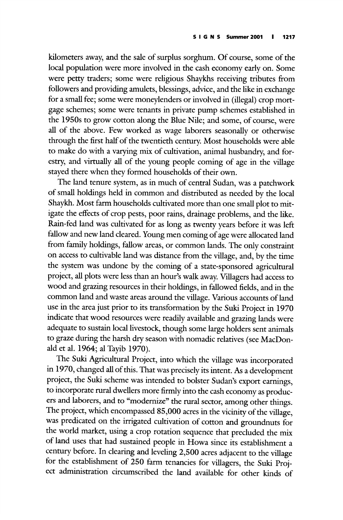kilometers away, and the sale of surplus sorghum. Of course, some of the local population were more involved in the cash economy early on. Some were petty traders; some were religious Shaykhs receiving tributes from followers and providing amulets, blessings, advice, and the like in exchange for a small fee; some were moneylenders or involved in (illegal) crop mort gage schemes; some were tenants in private pump schemes established in the 1950s to grow cotton along the Blue Nile; and some, of course, were all of the above. Few worked as wage laborers seasonally or otherwise through the first half of the twentieth century. Most households were able to make do with a varying mix of cultivation, animal husbandry, and for estry, and virtually all of the young people coming of age in the village stayed there when they formed households of their own.

 The land tenure system, as in much of central Sudan, was a patchwork of small holdings held in common and distributed as needed by the local Shaykh. Most farm households cultivated more than one small plot to mit igate the effects of crop pests, poor rains, drainage problems, and the like. Rain-fed land was cultivated for as long as twenty years before it was left fallow and new land cleared. Young men coming of age were allocated land from family holdings, fallow areas, or common lands. The only constraint on access to cultivable land was distance from the village, and, by the time the system was undone by the coming of a state-sponsored agricultural project, all plots were less than an hour's walk away. Villagers had access to wood and grazing resources in their holdings, in fallowed fields, and in the common land and waste areas around the village. Various accounts of land use in the area just prior to its transformation by the Suki Project in 1970 indicate that wood resources were readily available and grazing lands were adequate to sustain local livestock, though some large holders sent animals to graze during the harsh dry season with nomadic relatives (see MacDon ald et al. 1964; al Tayib 1970).

 The Suki Agricultural Project, into which the village was incorporated in 1970, changed all of this. That was precisely its intent. As a development project, the Suki scheme was intended to bolster Sudan's export earnings, to incorporate rural dwellers more firmly into the cash economy as produc ers and laborers, and to "modernize" the rural sector, among other things. The project, which encompassed 85,000 acres in the vicinity of the village, was predicated on the irrigated cultivation of cotton and groundnuts for the world market, using a crop rotation sequence that precluded the mix of land uses that had sustained people in Howa since its establishment a century before. In clearing and leveling 2,500 acres adjacent to the village for the establishment of 250 farm tenancies for villagers, the Suki Proj ect administration circumscribed the land available for other kinds of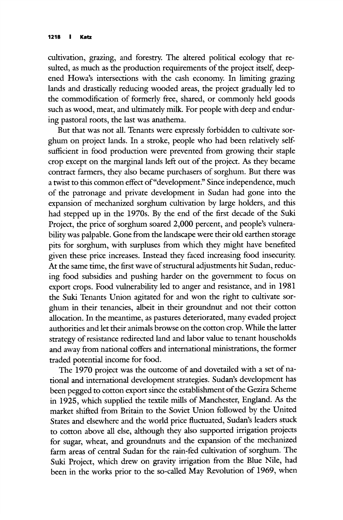cultivation, grazing, and forestry. The altered political ecology that re sulted, as much as the production requirements of the project itself, deep ened Howa's intersections with the cash economy. In limiting grazing lands and drastically reducing wooded areas, the project gradually led to the commodification of formerly free, shared, or commonly held goods such as wood, meat, and ultimately milk. For people with deep and enduring pastoral roots, the last was anathema.

 But that was not all. Tenants were expressly forbidden to cultivate sor ghum on project lands. In a stroke, people who had been relatively self sufficient in food production were prevented from growing their staple crop except on the marginal lands left out of the project. As they became contract farmers, they also became purchasers of sorghum. But there was a twist to this common effect of"development." Since independence, much of the patronage and private development in Sudan had gone into the expansion of mechanized sorghum cultivation by large holders, and this had stepped up in the 1970s. By the end of the first decade of the Suki Project, the price of sorghum soared 2,000 percent, and people's vulnera bility was palpable. Gone from the landscape were their old earthen storage pits for sorghum, with surpluses from which they might have benefited given these price increases. Instead they faced increasing food insecurity. At the same time, the first wave of structural adjustments hit Sudan, reduc ing food subsidies and pushing harder on the government to focus on export crops. Food vulnerability led to anger and resistance, and in 1981 the Suki Tenants Union agitated for and won the right to cultivate sor ghum in their tenancies, albeit in their groundnut and not their cotton allocation. In the meantime, as pastures deteriorated, many evaded project authorities and let their animals browse on the cotton crop. While the latter strategy of resistance redirected land and labor value to tenant households and away from national coffers and international ministrations, the former traded potential income for food.

 The 1970 project was the outcome of and dovetailed with a set of na tional and international development strategies. Sudan's development has been pegged to cotton export since the establishment of the Gezira Scheme in 1925, which supplied the textile mills of Manchester, England. As the market shifted from Britain to the Soviet Union followed by the United States and elsewhere and the world price fluctuated, Sudan's leaders stuck to cotton above all else, although they also supported irrigation projects for sugar, wheat, and groundnuts and the expansion of the mechanized farm areas of central Sudan for the rain-fed cultivation of sorghum. The Suki Project, which drew on gravity irrigation from the Blue Nile, had been in the works prior to the so-called May Revolution of 1969, when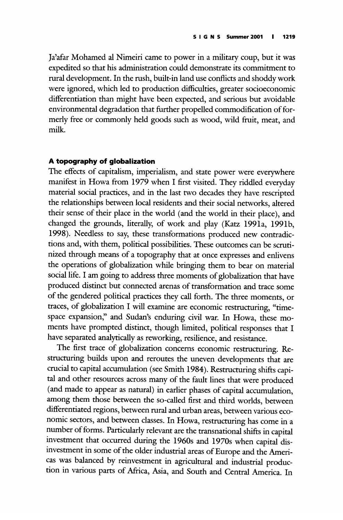Ja'afar Mohamed al Nimeiri came to power in a military coup, but it was expedited so that his administration could demonstrate its commitment to rural development. In the rush, built-in land use conflicts and shoddy work were ignored, which led to production difficulties, greater socioeconomic differentiation than might have been expected, and serious but avoidable environmental degradation that further propelled commodification of for merly free or commonly held goods such as wood, wild fruit, meat, and milk.

### A topography of globalization

 The effects of capitalism, imperialism, and state power were everywhere manifest in Howa from 1979 when I first visited. They riddled everyday material social practices, and in the last two decades they have rescripted the relationships between local residents and their social networks, altered their sense of their place in the world (and the world in their place), and changed the grounds, literally, of work and play (Katz 1991a, 1991b, 1998). Needless to say, these transformations produced new contradic tions and, with them, political possibilities. These outcomes can be scruti nized through means of a topography that at once expresses and enlivens the operations of globalization while bringing them to bear on material social life. I am going to address three moments of globalization that have produced distinct but connected arenas of transformation and trace some of the gendered political practices they call forth. The three moments, or traces, of globalization I will examine are economic restructuring, "time space expansion," and Sudan's enduring civil war. In Howa, these mo ments have prompted distinct, though limited, political responses that I have separated analytically as reworking, resilience, and resistance.

 The first trace of globalization concerns economic restructuring. Re structuring builds upon and reroutes the uneven developments that are crucial to capital accumulation (see Smith 1984). Restructuring shifts capi tal and other resources across many of the fault lines that were produced (and made to appear as natural) in earlier phases of capital accumulation, among them those between the so-called first and third worlds, between differentiated regions, between rural and urban areas, between various eco nomic sectors, and between classes. In Howa, restructuring has come in a number of forms. Particularly relevant are the transnational shifts in capital investment that occurred during the 1960s and 1970s when capital dis investment in some of the older industrial areas of Europe and the Ameri cas was balanced by reinvestment in agricultural and industrial produc tion in various parts of Africa, Asia, and South and Central America. In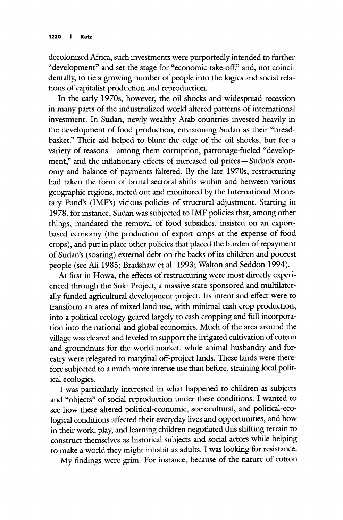decolonized Africa, such investments were purportedly intended to further "development" and set the stage for "economic take-off," and, not coinci dentally, to tie a growing number of people into the logics and social rela tions of capitalist production and reproduction.

 In the early 1970s, however, the oil shocks and widespread recession in many parts of the industrialized world altered patterns of international investment. In Sudan, newly wealthy Arab countries invested heavily in the development of food production, envisioning Sudan as their "bread basket." Their aid helped to blunt the edge of the oil shocks, but for a variety of reasons - among them corruption, patronage-fueled "development," and the inflationary effects of increased oil prices - Sudan's econ omy and balance of payments faltered. By the late 1970s, restructuring had taken the form of brutal sectoral shifts within and between various geographic regions, meted out and monitored by the International Mone tary Fund's (IMF's) vicious policies of structural adjustment. Starting in 1978, for instance, Sudan was subjected to IMF policies that, among other things, mandated the removal of food subsidies, insisted on an export based economy (the production of export crops at the expense of food crops), and put in place other policies that placed the burden of repayment of Sudan's (soaring) external debt on the backs of its children and poorest people (see Ali 1985; Bradshaw et al. 1993; Walton and Seddon 1994).

 At first in Howa, the effects of restructuring were most directly experi enced through the Suki Project, a massive state-sponsored and multilater ally funded agricultural development project. Its intent and effect were to transform an area of mixed land use, with minimal cash crop production, into a political ecology geared largely to cash cropping and full incorpora tion into the national and global economies. Much of the area around the village was cleared and leveled to support the irrigated cultivation of cotton and groundnuts for the world market, while animal husbandry and for estry were relegated to marginal off-project lands. These lands were there fore subjected to a much more intense use than before, straining local polit ical ecologies.

 I was particularly interested in what happened to children as subjects and "objects" of social reproduction under these conditions. I wanted to see how these altered political-economic, sociocultural, and political-eco logical conditions affected their everyday lives and opportunities, and how in their work, play, and learning children negotiated this shifting terrain to construct themselves as historical subjects and social actors while helping to make a world they might inhabit as adults. I was looking for resistance.

My findings were grim. For instance, because of the nature of cotton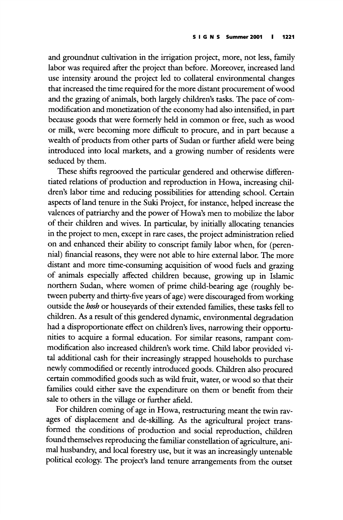and groundnut cultivation in the irrigation project, more, not less, family labor was required after the project than before. Moreover, increased land use intensity around the project led to collateral environmental changes that increased the time required for the more distant procurement of wood and the grazing of animals, both largely children's tasks. The pace of com modification and monetization of the economy had also intensified, in part because goods that were formerly held in common or free, such as wood or milk, were becoming more difficult to procure, and in part because a wealth of products from other parts of Sudan or further afield were being introduced into local markets, and a growing number of residents were seduced by them.

 These shifts regrooved the particular gendered and otherwise differen tiated relations of production and reproduction in Howa, increasing chil dren's labor time and reducing possibilities for attending school. Certain aspects of land tenure in the Suki Project, for instance, helped increase the valences of patriarchy and the power of Howa's men to mobilize the labor of their children and wives. In particular, by initially allocating tenancies in the project to men, except in rare cases, the project administration relied on and enhanced their ability to conscript family labor when, for (peren nial) financial reasons, they were not able to hire external labor. The more distant and more time-consuming acquisition of wood fuels and grazing of animals especially affected children because, growing up in Islamic northern Sudan, where women of prime child-bearing age (roughly be tween puberty and thirty-five years of age) were discouraged from working outside the hosh or houseyards of their extended families, these tasks fell to children. As a result of this gendered dynamic, environmental degradation had a disproportionate effect on children's lives, narrowing their opportu nities to acquire a formal education. For similar reasons, rampant com modification also increased children's work time. Child labor provided vi tal additional cash for their increasingly strapped households to purchase newly commodified or recently introduced goods. Children also procured certain commodified goods such as wild fruit, water, or wood so that their families could either save the expenditure on them or benefit from their sale to others in the village or further afield.

 For children coming of age in Howa, restructuring meant the twin rav ages of displacement and de-skilling. As the agricultural project trans formed the conditions of production and social reproduction, children found themselves reproducing the familiar constellation of agriculture, ani mal husbandry, and local forestry use, but it was an increasingly untenable political ecology. The project's land tenure arrangements from the outset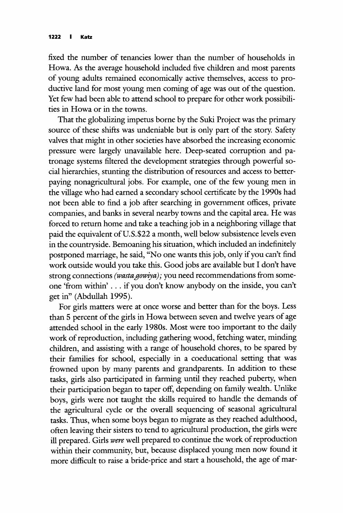fixed the number of tenancies lower than the number of households in Howa. As the average household included five children and most parents of young adults remained economically active themselves, access to pro ductive land for most young men coming of age was out of the question. Yet few had been able to attend school to prepare for other work possibilities in Howa or in the towns.

 That the globalizing impetus borne by the Suki Project was the primary source of these shifts was undeniable but is only part of the story. Safety valves that might in other societies have absorbed the increasing economic pressure were largely unavailable here. Deep-seated corruption and pa tronage systems filtered the development strategies through powerful so cial hierarchies, stunting the distribution of resources and access to better paying nonagricultural jobs. For example, one of the few young men in the village who had earned a secondary school certificate by the 1990s had not been able to find a job after searching in government offices, private companies, and banks in several nearby towns and the capital area. He was forced to return home and take a teaching job in a neighboring village that paid the equivalent of U.S.\$22 a month, well below subsistence levels even in the countryside. Bemoaning his situation, which included an indefinitely postponed marriage, he said, "No one wants this job, only if you can't find work outside would you take this. Good jobs are available but I don't have strong connections (wasta gowiya); you need recommendations from some one 'from within' . .. if you don't know anybody on the inside, you can't get in" (Abdullah 1995).

 For girls matters were at once worse and better than for the boys. Less than 5 percent of the girls in Howa between seven and twelve years of age attended school in the early 1980s. Most were too important to the daily work of reproduction, including gathering wood, fetching water, minding children, and assisting with a range of household chores, to be spared by their families for school, especially in a coeducational setting that was frowned upon by many parents and grandparents. In addition to these tasks, girls also participated in farming until they reached puberty, when their participation began to taper off, depending on family wealth. Unlike boys, girls were not taught the skills required to handle the demands of the agricultural cycle or the overall sequencing of seasonal agricultural tasks. Thus, when some boys began to migrate as they reached adulthood, often leaving their sisters to tend to agricultural production, the girls were ill prepared. Girls were well prepared to continue the work of reproduction within their community, but, because displaced young men now found it more difficult to raise a bride-price and start a household, the age of mar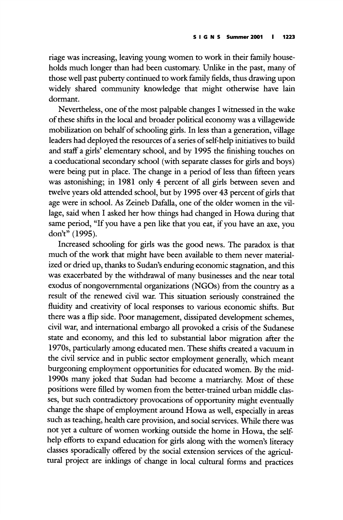riage was increasing, leaving young women to work in their family house holds much longer than had been customary. Unlike in the past, many of those well past puberty continued to work family fields, thus drawing upon widely shared community knowledge that might otherwise have lain dormant.

 Nevertheless, one of the most palpable changes I witnessed in the wake of these shifts in the local and broader political economy was a villagewide mobilization on behalf of schooling girls. In less than a generation, village leaders had deployed the resources of a series of self-help initiatives to build and staff a girls' elementary school, and by 1995 the finishing touches on a coeducational secondary school (with separate classes for girls and boys) were being put in place. The change in a period of less than fifteen years was astonishing; in 1981 only 4 percent of all girls between seven and twelve years old attended school, but by 1995 over 43 percent of girls that age were in school. As Zeineb Dafalla, one of the older women in the vil lage, said when I asked her how things had changed in Howa during that same period, "If you have a pen like that you eat, if you have an axe, you don't" (1995).

 Increased schooling for girls was the good news. The paradox is that much of the work that might have been available to them never material ized or dried up, thanks to Sudan's enduring economic stagnation, and this was exacerbated by the withdrawal of many businesses and the near total exodus of nongovernmental organizations (NGOs) from the country as a result of the renewed civil war. This situation seriously constrained the fluidity and creativity of local responses to various economic shifts. But there was a flip side. Poor management, dissipated development schemes, civil war, and international embargo all provoked a crisis of the Sudanese state and economy, and this led to substantial labor migration after the 1970s, particularly among educated men. These shifts created a vacuum in the civil service and in public sector employment generally, which meant burgeoning employment opportunities for educated women. By the mid- 1990s many joked that Sudan had become a matriarchy. Most of these positions were filled by women from the better-trained urban middle clas ses, but such contradictory provocations of opportunity might eventually change the shape of employment around Howa as well, especially in areas such as teaching, health care provision, and social services. While there was not yet a culture of women working outside the home in Howa, the self help efforts to expand education for girls along with the women's literacy classes sporadically offered by the social extension services of the agricul tural project are inklings of change in local cultural forms and practices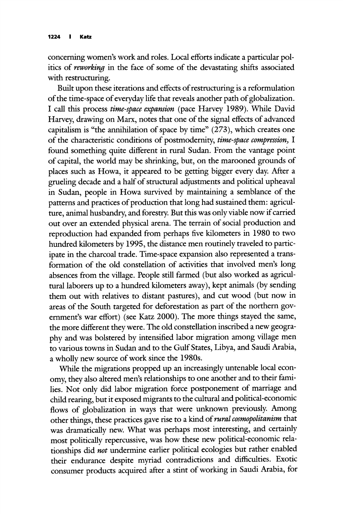concerning women's work and roles. Local efforts indicate a particular pol itics of reworking in the face of some of the devastating shifts associated with restructuring.

 Built upon these iterations and effects of restructuring is a reformulation of the time-space of everyday life that reveals another path of globalization. I call this process time-space expansion (pace Harvey 1989). While David Harvey, drawing on Marx, notes that one of the signal effects of advanced capitalism is "the annihilation of space by time" (273), which creates one of the characteristic conditions of postmodernity, time-space compression, I found something quite different in rural Sudan. From the vantage point of capital, the world may be shrinking, but, on the marooned grounds of places such as Howa, it appeared to be getting bigger every day. After a grueling decade and a half of structural adjustments and political upheaval in Sudan, people in Howa survived by maintaining a semblance of the patterns and practices of production that long had sustained them: agricul ture, animal husbandry, and forestry. But this was only viable now if carried out over an extended physical arena. The terrain of social production and reproduction had expanded from perhaps five kilometers in 1980 to two hundred kilometers by 1995, the distance men routinely traveled to partic ipate in the charcoal trade. Time-space expansion also represented a trans formation of the old constellation of activities that involved men's long absences from the village. People still farmed (but also worked as agricul tural laborers up to a hundred kilometers away), kept animals (by sending them out with relatives to distant pastures), and cut wood (but now in areas of the South targeted for deforestation as part of the northern gov ernment's war effort) (see Katz 2000). The more things stayed the same, the more different they were. The old constellation inscribed a new geogra phy and was bolstered by intensified labor migration among village men to various towns in Sudan and to the Gulf States, Libya, and Saudi Arabia, a wholly new source of work since the 1980s.

 While the migrations propped up an increasingly untenable local econ omy, they also altered men's relationships to one another and to their fami lies. Not only did labor migration force postponement of marriage and child rearing, but it exposed migrants to the cultural and political-economic flows of globalization in ways that were unknown previously. Among other things, these practices gave rise to a kind of rural cosmopolitanism that was dramatically new. What was perhaps most interesting, and certainly most politically repercussive, was how these new political-economic rela tionships did not undermine earlier political ecologies but rather enabled their endurance despite myriad contradictions and difficulties. Exotic consumer products acquired after a stint of working in Saudi Arabia, for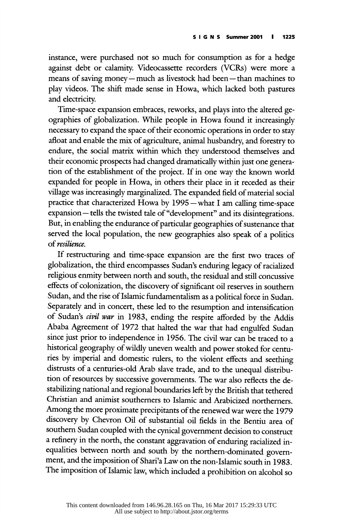instance, were purchased not so much for consumption as for a hedge against debt or calamity. Videocassette recorders (VCRs) were more a means of saving money - much as livestock had been - than machines to play videos. The shift made sense in Howa, which lacked both pastures and electricity.

 Time-space expansion embraces, reworks, and plays into the altered ge ographies of globalization. While people in Howa found it increasingly necessary to expand the space of their economic operations in order to stay afloat and enable the mix of agriculture, animal husbandry, and forestry to endure, the social matrix within which they understood themselves and their economic prospects had changed dramatically within just one genera tion of the establishment of the project. If in one way the known world expanded for people in Howa, in others their place in it receded as their village was increasingly marginalized. The expanded field of material social practice that characterized Howa by 1995 - what I am calling time-space expansion - tells the twisted tale of "development" and its disintegrations. But, in enabling the endurance of particular geographies of sustenance that served the local population, the new geographies also speak of a politics of resilience.

 If restructuring and time-space expansion are the first two traces of globalization, the third encompasses Sudan's enduring legacy of racialized religious enmity between north and south, the residual and still concussive effects of colonization, the discovery of significant oil reserves in southern Sudan, and the rise of Islamic fundamentalism as a political force in Sudan. Separately and in concert, these led to the resumption and intensification of Sudan's civil war in 1983, ending the respite afforded by the Addis Ababa Agreement of 1972 that halted the war that had engulfed Sudan since just prior to independence in 1956. The civil war can be traced to a historical geography of wildly uneven wealth and power stoked for centu ries by imperial and domestic rulers, to the violent effects and seething distrusts of a centuries-old Arab slave trade, and to the unequal distribu tion of resources by successive governments. The war also reflects the de stabilizing national and regional boundaries left by the British that tethered Christian and animist southerners to Islamic and Arabicized northerners. Among the more proximate precipitants of the renewed war were the 1979 discovery by Chevron Oil of substantial oil fields in the Bentiu area of southern Sudan coupled with the cynical government decision to construct a refinery in the north, the constant aggravation of enduring racialized in equalities between north and south by the northern-dominated govern ment, and the imposition of Shari'a Law on the non-Islamic south in 1983. The imposition of Islamic law, which included a prohibition on alcohol so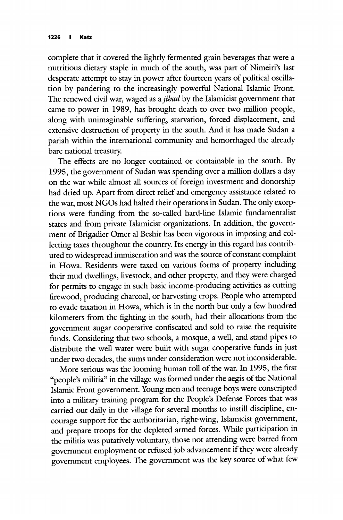complete that it covered the lightly fermented grain beverages that were a nutritious dietary staple in much of the south, was part of Nimeiri's last desperate attempt to stay in power after fourteen years of political oscilla tion by pandering to the increasingly powerful National Islamic Front. The renewed civil war, waged as a jihad by the Islamicist government that came to power in 1989, has brought death to over two million people, along with unimaginable suffering, starvation, forced displacement, and extensive destruction of property in the south. And it has made Sudan a pariah within the international community and hemorrhaged the already bare national treasury.

 The effects are no longer contained or containable in the south. By 1995, the government of Sudan was spending over a million dollars a day on the war while almost all sources of foreign investment and donorship had dried up. Apart from direct relief and emergency assistance related to the war, most NGOs had halted their operations in Sudan. The only excep tions were funding from the so-called hard-line Islamic fundamentalist states and from private Islamicist organizations. In addition, the govern ment of Brigadier Omer al Beshir has been vigorous in imposing and col lecting taxes throughout the country. Its energy in this regard has contrib uted to widespread immiseration and was the source of constant complaint in Howa. Residents were taxed on various forms of property including their mud dwellings, livestock, and other property, and they were charged for permits to engage in such basic income-producing activities as cutting firewood, producing charcoal, or harvesting crops. People who attempted to evade taxation in Howa, which is in the north but only a few hundred kilometers from the fighting in the south, had their allocations from the government sugar cooperative confiscated and sold to raise the requisite funds. Considering that two schools, a mosque, a well, and stand pipes to distribute the well water were built with sugar cooperative funds in just under two decades, the sums under consideration were not inconsiderable.

 More serious was the looming human toll of the war. In 1995, the first "people's militia" in the village was formed under the aegis of the National Islamic Front government. Young men and teenage boys were conscripted into a military training program for the People's Defense Forces that was carried out daily in the village for several months to instill discipline, en courage support for the authoritarian, right-wing, Islamicist government, and prepare troops for the depleted armed forces. While participation in the militia was putatively voluntary, those not attending were barred from government employment or refused job advancement if they were already government employees. The government was the key source of what few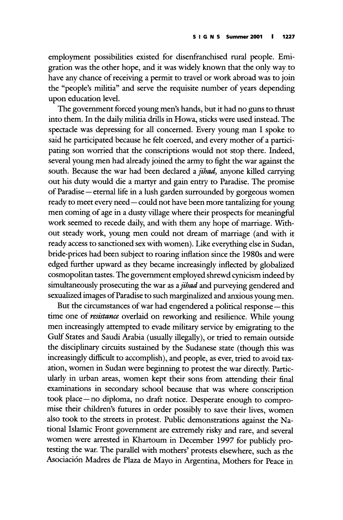employment possibilities existed for disenfranchised rural people. Emi gration was the other hope, and it was widely known that the only way to have any chance of receiving a permit to travel or work abroad was to join the "people's militia" and serve the requisite number of years depending upon education level.

 The government forced young men's hands, but it had no guns to thrust into them. In the daily militia drills in Howa, sticks were used instead. The spectacle was depressing for all concerned. Every young man I spoke to said he participated because he felt coerced, and every mother of a partici pating son worried that the conscriptions would not stop there. Indeed, several young men had already joined the army to fight the war against the south. Because the war had been declared a *jihad*, anyone killed carrying out his duty would die a martyr and gain entry to Paradise. The promise of Paradise - eternal life in a lush garden surrounded by gorgeous women ready to meet every need - could not have been more tantalizing for young men coming of age in a dusty village where their prospects for meaningful work seemed to recede daily, and with them any hope of marriage. With out steady work, young men could not dream of marriage (and with it ready access to sanctioned sex with women). Like everything else in Sudan, bride-prices had been subject to roaring inflation since the 1980s and were edged further upward as they became increasingly inflected by globalized cosmopolitan tastes. The government employed shrewd cynicism indeed by simultaneously prosecuting the war as a jihad and purveying gendered and sexualized images of Paradise to such marginalized and anxious young men.

But the circumstances of war had engendered a political response - this time one of resistance overlaid on reworking and resilience. While young men increasingly attempted to evade military service by emigrating to the Gulf States and Saudi Arabia (usually illegally), or tried to remain outside the disciplinary circuits sustained by the Sudanese state (though this was increasingly difficult to accomplish), and people, as ever, tried to avoid tax ation, women in Sudan were beginning to protest the war directly. Partic ularly in urban areas, women kept their sons from attending their final examinations in secondary school because that was where conscription took place-no diploma, no draft notice. Desperate enough to compro mise their children's futures in order possibly to save their lives, women also took to the streets in protest. Public demonstrations against the Na tional Islamic Front government are extremely risky and rare, and several women were arrested in Khartoum in December 1997 for publicly pro testing the war. The parallel with mothers' protests elsewhere, such as the Asociacion Madres de Plaza de Mayo in Argentina, Mothers for Peace in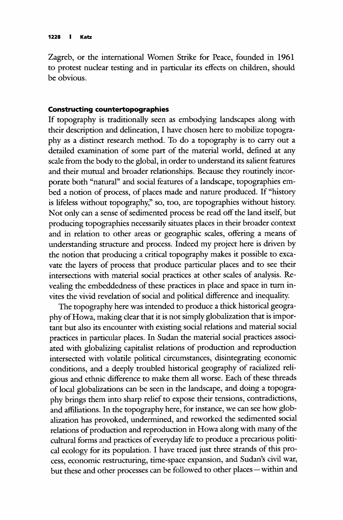Zagreb, or the international Women Strike for Peace, founded in 1961 to protest nuclear testing and in particular its effects on children, should be obvious.

## Constructing countertopographies

 If topography is traditionally seen as embodying landscapes along with their description and delineation, I have chosen here to mobilize topogra phy as a distinct research method. To do a topography is to carry out a detailed examination of some part of the material world, defined at any scale from the body to the global, in order to understand its salient features and their mutual and broader relationships. Because they routinely incor porate both "natural" and social features of a landscape, topographies em bed a notion of process, of places made and nature produced. If "history is lifeless without topography," so, too, are topographies without history. Not only can a sense of sedimented process be read off the land itself, but producing topographies necessarily situates places in their broader context and in relation to other areas or geographic scales, offering a means of understanding structure and process. Indeed my project here is driven by the notion that producing a critical topography makes it possible to exca vate the layers of process that produce particular places and to see their intersections with material social practices at other scales of analysis. Re vealing the embeddedness of these practices in place and space in turn in vites the vivid revelation of social and political difference and inequality.

 The topography here was intended to produce a thick historical geogra phy of Howa, making clear that it is not simply globalization that is impor tant but also its encounter with existing social relations and material social practices in particular places. In Sudan the material social practices associ ated with globalizing capitalist relations of production and reproduction intersected with volatile political circumstances, disintegrating economic conditions, and a deeply troubled historical geography of racialized reli gious and ethnic difference to make them all worse. Each of these threads of local globalizations can be seen in the landscape, and doing a topogra phy brings them into sharp relief to expose their tensions, contradictions, and affiliations. In the topography here, for instance, we can see how glob alization has provoked, undermined, and reworked the sedimented social relations of production and reproduction in Howa along with many of the cultural forms and practices of everyday life to produce a precarious politi cal ecology for its population. I have traced just three strands of this pro cess, economic restructuring, time-space expansion, and Sudan's civil war, but these and other processes can be followed to other places - within and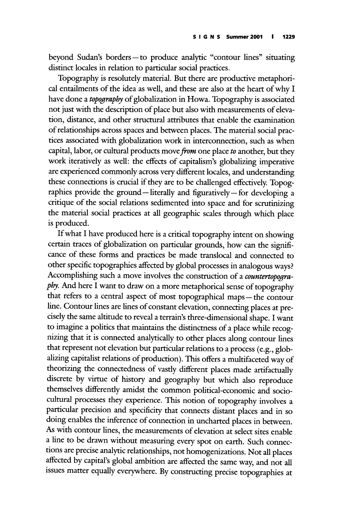beyond Sudan's borders-to produce analytic "contour lines" situating distinct locales in relation to particular social practices.

 Topography is resolutely material. But there are productive metaphori cal entailments of the idea as well, and these are also at the heart of why I have done a topography of globalization in Howa. Topography is associated not just with the description of place but also with measurements of eleva tion, distance, and other structural attributes that enable the examination of relationships across spaces and between places. The material social prac tices associated with globalization work in interconnection, such as when capital, labor, or cultural products move from one place to another, but they work iteratively as well: the effects of capitalism's globalizing imperative are experienced commonly across very different locales, and understanding these connections is crucial if they are to be challenged effectively. Topog raphies provide the ground-literally and figuratively-for developing a critique of the social relations sedimented into space and for scrutinizing the material social practices at all geographic scales through which place is produced.

 If what I have produced here is a critical topography intent on showing certain traces of globalization on particular grounds, how can the signifi cance of these forms and practices be made translocal and connected to other specific topographies affected by global processes in analogous ways? Accomplishing such a move involves the construction of a countertopography. And here I want to draw on a more metaphorical sense of topography that refers to a central aspect of most topographical maps-- the contour line. Contour lines are lines of constant elevation, connecting places at pre cisely the same altitude to reveal a terrain's three-dimensional shape. I want to imagine a politics that maintains the distinctness of a place while recog nizing that it is connected analytically to other places along contour lines that represent not elevation but particular relations to a process (e.g., glob alizing capitalist relations of production). This offers a multifaceted way of theorizing the connectedness of vastly different places made artifactually discrete by virtue of history and geography but which also reproduce themselves differently amidst the common political-economic and socio cultural processes they experience. This notion of topography involves a particular precision and specificity that connects distant places and in so doing enables the inference of connection in uncharted places in between. As with contour lines, the measurements of elevation at select sites enable a line to be drawn without measuring every spot on earth. Such connec tions are precise analytic relationships, not homogenizations. Not all places affected by capital's global ambition are affected the same way, and not all issues matter equally everywhere. By constructing precise topographies at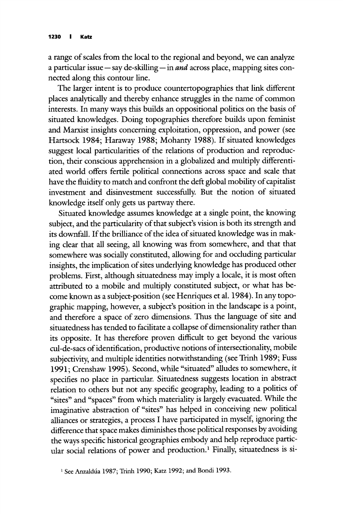a range of scales from the local to the regional and beyond, we can analyze a particular issue  $-$  say de-skilling  $-$  in *and* across place, mapping sites connected along this contour line.

 The larger intent is to produce countertopographies that link different places analytically and thereby enhance struggles in the name of common interests. In many ways this builds an oppositional politics on the basis of situated knowledges. Doing topographies therefore builds upon feminist and Marxist insights concerning exploitation, oppression, and power (see Hartsock 1984; Haraway 1988; Mohanty 1988). If situated knowledges suggest local particularities of the relations of production and reproduc tion, their conscious apprehension in a globalized and multiply differenti ated world offers fertile political connections across space and scale that have the fluidity to match and confront the deft global mobility of capitalist investment and disinvestment successfully. But the notion of situated knowledge itself only gets us partway there.

 Situated knowledge assumes knowledge at a single point, the knowing subject, and the particularity of that subject's vision is both its strength and its downfall. If the brilliance of the idea of situated knowledge was in mak ing clear that all seeing, all knowing was from somewhere, and that that somewhere was socially constituted, allowing for and occluding particular insights, the implication of sites underlying knowledge has produced other problems. First, although situatedness may imply a locale, it is most often attributed to a mobile and multiply constituted subject, or what has be come known as a subject-position (see Henriques et al. 1984). In any topo graphic mapping, however, a subject's position in the landscape is a point, and therefore a space of zero dimensions. Thus the language of site and situatedness has tended to facilitate a collapse of dimensionality rather than its opposite. It has therefore proven difficult to get beyond the various cul-de-sacs of identification, productive notions of intersectionality, mobile subjectivity, and multiple identities notwithstanding (see Trinh 1989; Fuss 1991; Crenshaw 1995). Second, while "situated" alludes to somewhere, it specifies no place in particular. Situatedness suggests location in abstract relation to others but not any specific geography, leading to a politics of "sites" and "spaces" from which materiality is largely evacuated. While the imaginative abstraction of "sites" has helped in conceiving new political alliances or strategies, a process I have participated in myself, ignoring the difference that space makes diminishes those political responses by avoiding the ways specific historical geographies embody and help reproduce partic ular social relations of power and production.' Finally, situatedness is si-

<sup>&</sup>lt;sup>1</sup> See Anzaldúa 1987; Trinh 1990; Katz 1992; and Bondi 1993.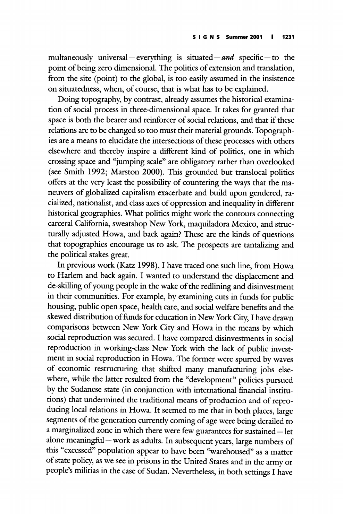multaneously universal - everything is situated- and specific- to the point of being zero dimensional. The politics of extension and translation, from the site (point) to the global, is too easily assumed in the insistence on situatedness, when, of course, that is what has to be explained.

 Doing topography, by contrast, already assumes the historical examina tion of social process in three-dimensional space. It takes for granted that space is both the bearer and reinforcer of social relations, and that if these relations are to be changed so too must their material grounds. Topograph ies are a means to elucidate the intersections of these processes with others elsewhere and thereby inspire a different kind of politics, one in which crossing space and "jumping scale" are obligatory rather than overlooked (see Smith 1992; Marston 2000). This grounded but translocal politics offers at the very least the possibility of countering the ways that the ma neuvers of globalized capitalism exacerbate and build upon gendered, ra cialized, nationalist, and class axes of oppression and inequality in different historical geographies. What politics might work the contours connecting carceral California, sweatshop New York, maquiladora Mexico, and struc turally adjusted Howa, and back again? These are the kinds of questions that topographies encourage us to ask. The prospects are tantalizing and the political stakes great.

 In previous work (Katz 1998), I have traced one such line, from Howa to Harlem and back again. I wanted to understand the displacement and de-skilling of young people in the wake of the redlining and disinvestment in their communities. For example, by examining cuts in funds for public housing, public open space, health care, and social welfare benefits and the skewed distribution of funds for education in New York City, I have drawn comparisons between New York City and Howa in the means by which social reproduction was secured. I have compared disinvestments in social reproduction in working-class New York with the lack of public invest ment in social reproduction in Howa. The former were spurred by waves of economic restructuring that shifted many manufacturing jobs else where, while the latter resulted from the "development" policies pursued by the Sudanese state (in conjunction with international financial institu tions) that undermined the traditional means of production and of repro ducing local relations in Howa. It seemed to me that in both places, large segments of the generation currently coming of age were being derailed to a marginalized zone in which there were few guarantees for sustained - let alone meaningful - work as adults. In subsequent years, large numbers of this "excessed" population appear to have been "warehoused" as a matter of state policy, as we see in prisons in the United States and in the army or people's militias in the case of Sudan. Nevertheless, in both settings I have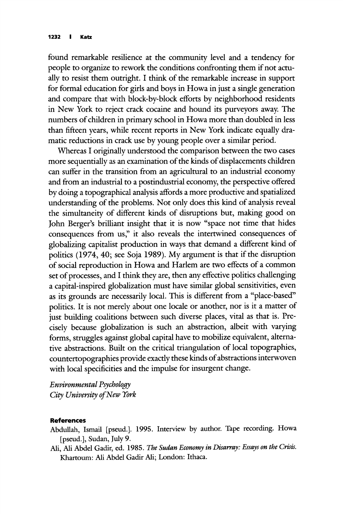found remarkable resilience at the community level and a tendency for people to organize to rework the conditions confronting them if not actu ally to resist them outright. I think of the remarkable increase in support for formal education for girls and boys in Howa in just a single generation and compare that with block-by-block efforts by neighborhood residents in New York to reject crack cocaine and hound its purveyors away. The numbers of children in primary school in Howa more than doubled in less than fifteen years, while recent reports in New York indicate equally dra matic reductions in crack use by young people over a similar period.

 Whereas I originally understood the comparison between the two cases more sequentially as an examination of the kinds of displacements children can suffer in the transition from an agricultural to an industrial economy and from an industrial to a postindustrial economy, the perspective offered by doing a topographical analysis affords a more productive and spatialized understanding of the problems. Not only does this kind of analysis reveal the simultaneity of different kinds of disruptions but, making good on John Berger's brilliant insight that it is now "space not time that hides consequences from us," it also reveals the intertwined consequences of globalizing capitalist production in ways that demand a different kind of politics (1974, 40; see Soja 1989). My argument is that if the disruption of social reproduction in Howa and Harlem are two effects of a common set of processes, and I think they are, then any effective politics challenging a capital-inspired globalization must have similar global sensitivities, even as its grounds are necessarily local. This is different from a "place-based" politics. It is not merely about one locale or another, nor is it a matter of just building coalitions between such diverse places, vital as that is. Pre cisely because globalization is such an abstraction, albeit with varying forms, struggles against global capital have to mobilize equivalent, alterna tive abstractions. Built on the critical triangulation of local topographies, countertopographies provide exactly these kinds of abstractions interwoven with local specificities and the impulse for insurgent change.

 Environmental Psychology City University of New York

### References

- Abdullah, Ismail [pseud.]. 1995. Interview by author. Tape recording. Howa [pseud.], Sudan, July 9.
- Ali, Ali Abdel Gadir, ed. 1985. The Sudan Economy in Disarray: Essays on the Crisis. Khartoum: Ali Abdel Gadir Ali; London: Ithaca.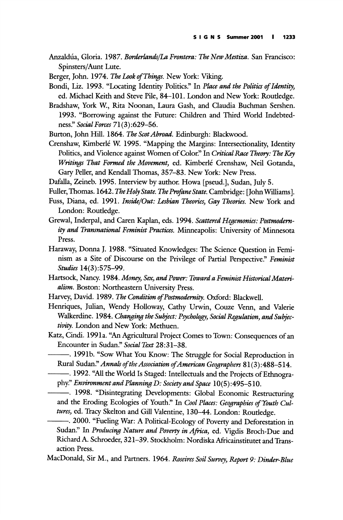- Anzaldúa, Gloria. 1987. Borderlands/La Frontera: The New Mestiza. San Francisco: Spinsters/Aunt Lute.
- Berger, John. 1974. The Look of Things. New York: Viking.
- Bondi, Liz. 1993. "Locating Identity Politics." In Place and the Politics of Identity, ed. Michael Keith and Steve Pile, 84-101. London and New York: Routledge.
- Bradshaw, York W., Rita Noonan, Laura Gash, and Claudia Buchman Sershen. 1993. "Borrowing against the Future: Children and Third World Indebted ness." Social Forces 71(3):629-56.
- Burton, John Hill. 1864. The Scot Abroad. Edinburgh: Blackwood.
- Crenshaw, Kimberlé W. 1995. "Mapping the Margins: Intersectionality, Identity Politics, and Violence against Women of Color." In Critical Race Theory: The Key Writings That Formed the Movement, ed. Kimberlé Crenshaw, Neil Gotanda, Gary Peller, and Kendall Thomas, 357-83. New York: New Press.
- Dafalla, Zeineb. 1995. Interview by author. Howa [pseud.], Sudan, July 5.
- Fuller, Thomas. 1642. The Holy State. The Profane State. Cambridge: [John Williams].
- Fuss, Diana, ed. 1991. Inside/Out: Lesbian Theories, Gay Theories. New York and London: Routledge.
- Grewal, Inderpal, and Caren Kaplan, eds. 1994. Scattered Hegemonies: Postmodern ity and Transnational Feminist Practices. Minneapolis: University of Minnesota Press.
- Haraway, Donna J. 1988. "Situated Knowledges: The Science Question in Femi nism as a Site of Discourse on the Privilege of Partial Perspective." Feminist Studies 14(3):575-99.
- Hartsock, Nancy. 1984. Money, Sex, and Power: Toward a Feminist Historical Materialism. Boston: Northeastern University Press.
- Harvey, David. 1989. The Condition of Postmodernity. Oxford: Blackwell.
- Henriques, Julian, Wendy Holloway, Cathy Urwin, Couze Venn, and Valerie Walkerdine. 1984. Changing the Subject: Psychology, Social Regulation, and Subjec tivity. London and New York: Methuen.
- Katz, Cindi. 1991a. "An Agricultural Project Comes to Town: Consequences of an Encounter in Sudan." Social Text 28:31-38.
	- . 1991b. "Sow What You Know: The Struggle for Social Reproduction in Rural Sudan." Annals of the Association of American Geographers 81(3):488-514.
	- . 1992. "All the World Is Staged: Intellectuals and the Projects of Ethnogra phy." Environment and Planning D: Society and Space 10(5):495-510.
	- . 1998. "Disintegrating Developments: Global Economic Restructuring and the Eroding Ecologies of Youth." In Cool Places: Geographies of Youth Cul tures, ed. Tracy Skelton and Gill Valentine, 130-44. London: Routledge.
	- . 2000. "Fueling War: A Political-Ecology of Poverty and Deforestation in Sudan." In Producing Nature and Poverty in Africa, ed. Vigdis Broch-Due and Richard A. Schroeder, 321-39. Stockholm: Nordiska Africainstitutet and Trans action Press.
- MacDonald, Sir M., and Partners. 1964. Roseires Soil Survey, Report 9: Dinder-Blue